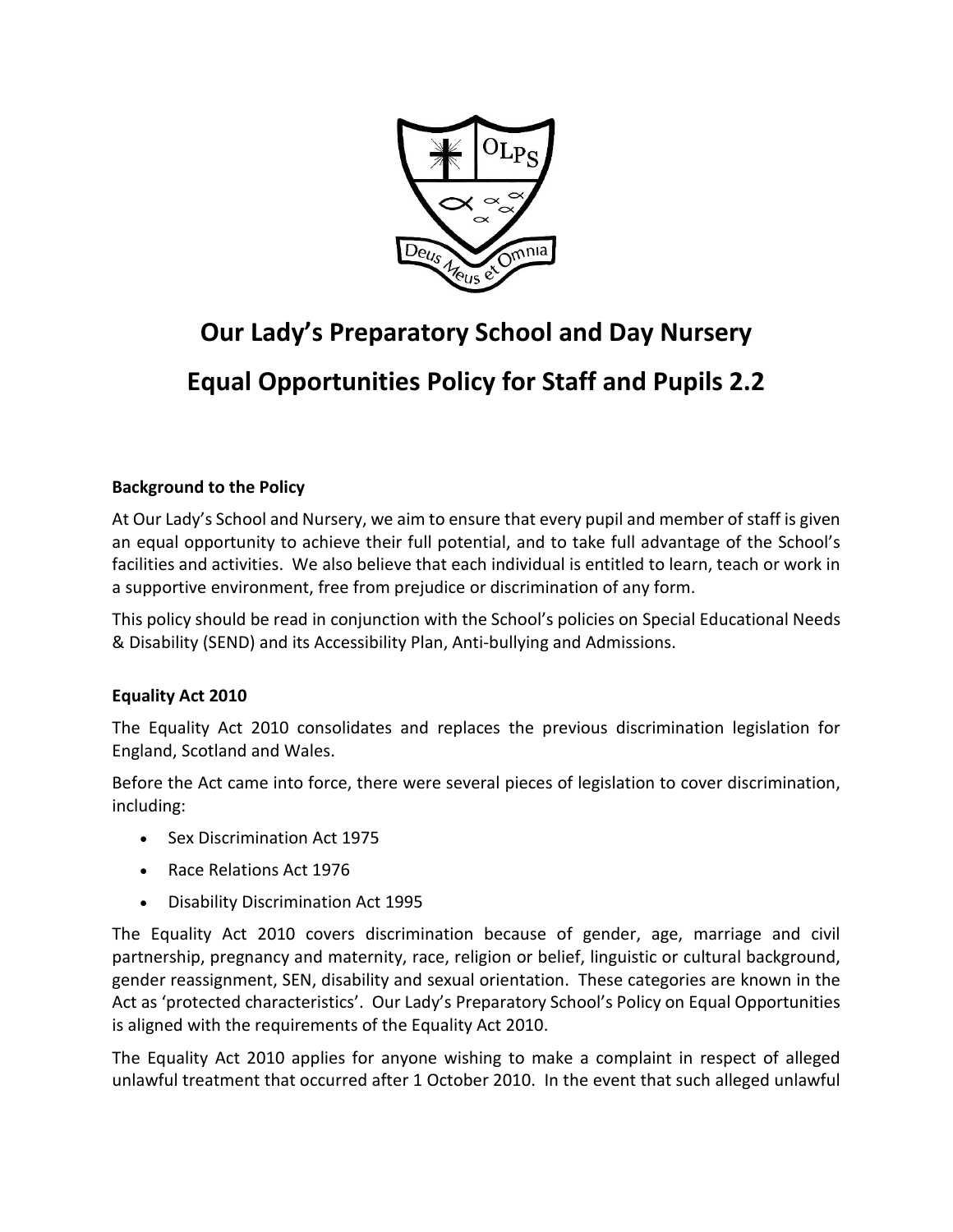

# **Our Lady's Preparatory School and Day Nursery Equal Opportunities Policy for Staff and Pupils 2.2**

# **Background to the Policy**

At Our Lady's School and Nursery, we aim to ensure that every pupil and member of staff is given an equal opportunity to achieve their full potential, and to take full advantage of the School's facilities and activities. We also believe that each individual is entitled to learn, teach or work in a supportive environment, free from prejudice or discrimination of any form.

This policy should be read in conjunction with the School's policies on Special Educational Needs & Disability (SEND) and its Accessibility Plan, Anti-bullying and Admissions.

## **Equality Act 2010**

The Equality Act 2010 consolidates and replaces the previous discrimination legislation for England, Scotland and Wales.

Before the Act came into force, there were several pieces of legislation to cover discrimination, including:

- Sex Discrimination Act 1975
- Race Relations Act 1976
- Disability Discrimination Act 1995

The Equality Act 2010 covers discrimination because of gender, age, marriage and civil partnership, pregnancy and maternity, race, religion or belief, linguistic or cultural background, gender reassignment, SEN, disability and sexual orientation. These categories are known in the Act as 'protected characteristics'. Our Lady's Preparatory School's Policy on Equal Opportunities is aligned with the requirements of the Equality Act 2010.

The Equality Act 2010 applies for anyone wishing to make a complaint in respect of alleged unlawful treatment that occurred after 1 October 2010. In the event that such alleged unlawful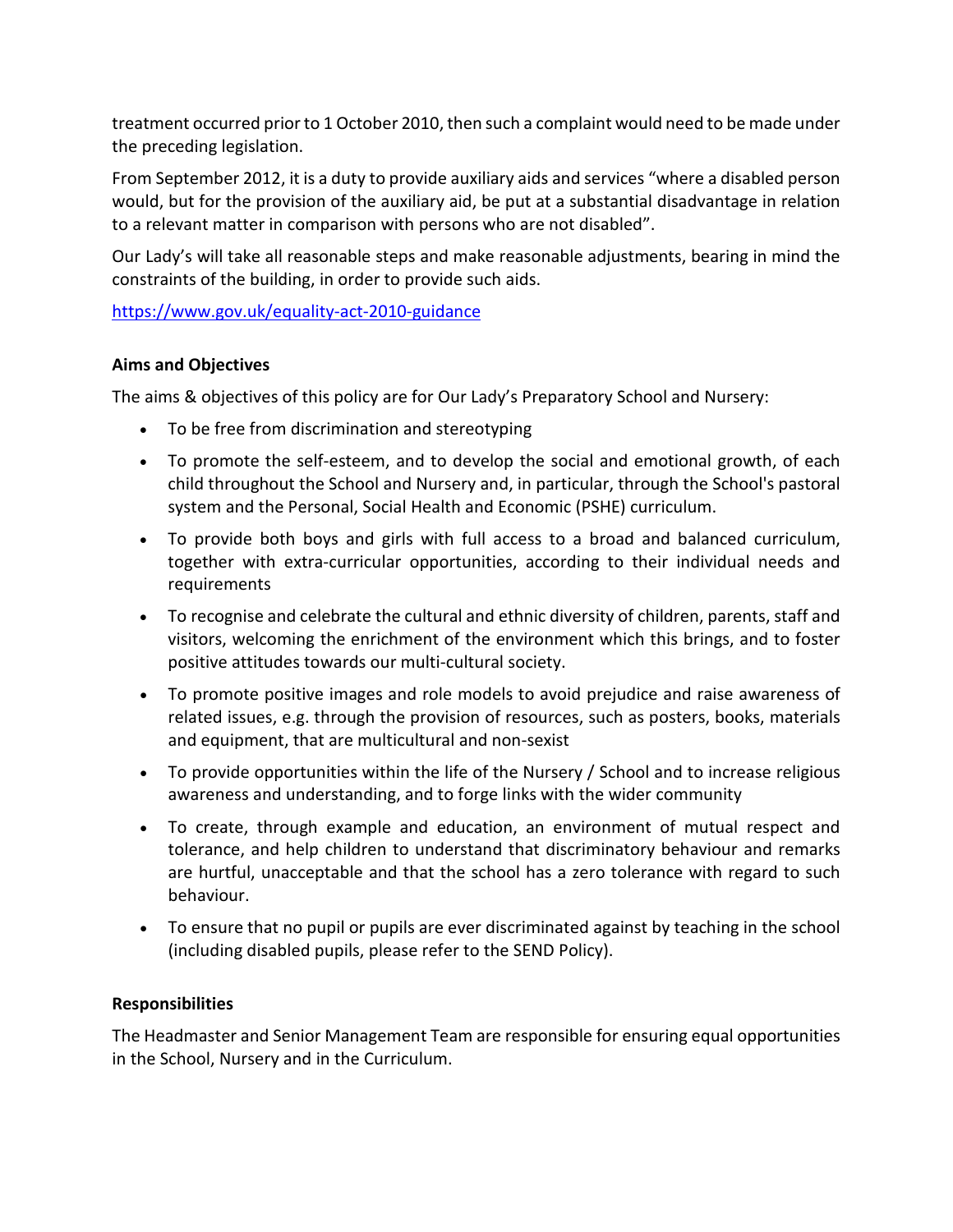treatment occurred prior to 1 October 2010, then such a complaint would need to be made under the preceding legislation.

From September 2012, it is a duty to provide auxiliary aids and services "where a disabled person would, but for the provision of the auxiliary aid, be put at a substantial disadvantage in relation to a relevant matter in comparison with persons who are not disabled".

Our Lady's will take all reasonable steps and make reasonable adjustments, bearing in mind the constraints of the building, in order to provide such aids.

<https://www.gov.uk/equality-act-2010-guidance>

## **Aims and Objectives**

The aims & objectives of this policy are for Our Lady's Preparatory School and Nursery:

- To be free from discrimination and stereotyping
- To promote the self-esteem, and to develop the social and emotional growth, of each child throughout the School and Nursery and, in particular, through the School's pastoral system and the Personal, Social Health and Economic (PSHE) curriculum.
- To provide both boys and girls with full access to a broad and balanced curriculum, together with extra-curricular opportunities, according to their individual needs and requirements
- To recognise and celebrate the cultural and ethnic diversity of children, parents, staff and visitors, welcoming the enrichment of the environment which this brings, and to foster positive attitudes towards our multi-cultural society.
- To promote positive images and role models to avoid prejudice and raise awareness of related issues, e.g. through the provision of resources, such as posters, books, materials and equipment, that are multicultural and non-sexist
- To provide opportunities within the life of the Nursery / School and to increase religious awareness and understanding, and to forge links with the wider community
- To create, through example and education, an environment of mutual respect and tolerance, and help children to understand that discriminatory behaviour and remarks are hurtful, unacceptable and that the school has a zero tolerance with regard to such behaviour.
- To ensure that no pupil or pupils are ever discriminated against by teaching in the school (including disabled pupils, please refer to the SEND Policy).

## **Responsibilities**

The Headmaster and Senior Management Team are responsible for ensuring equal opportunities in the School, Nursery and in the Curriculum.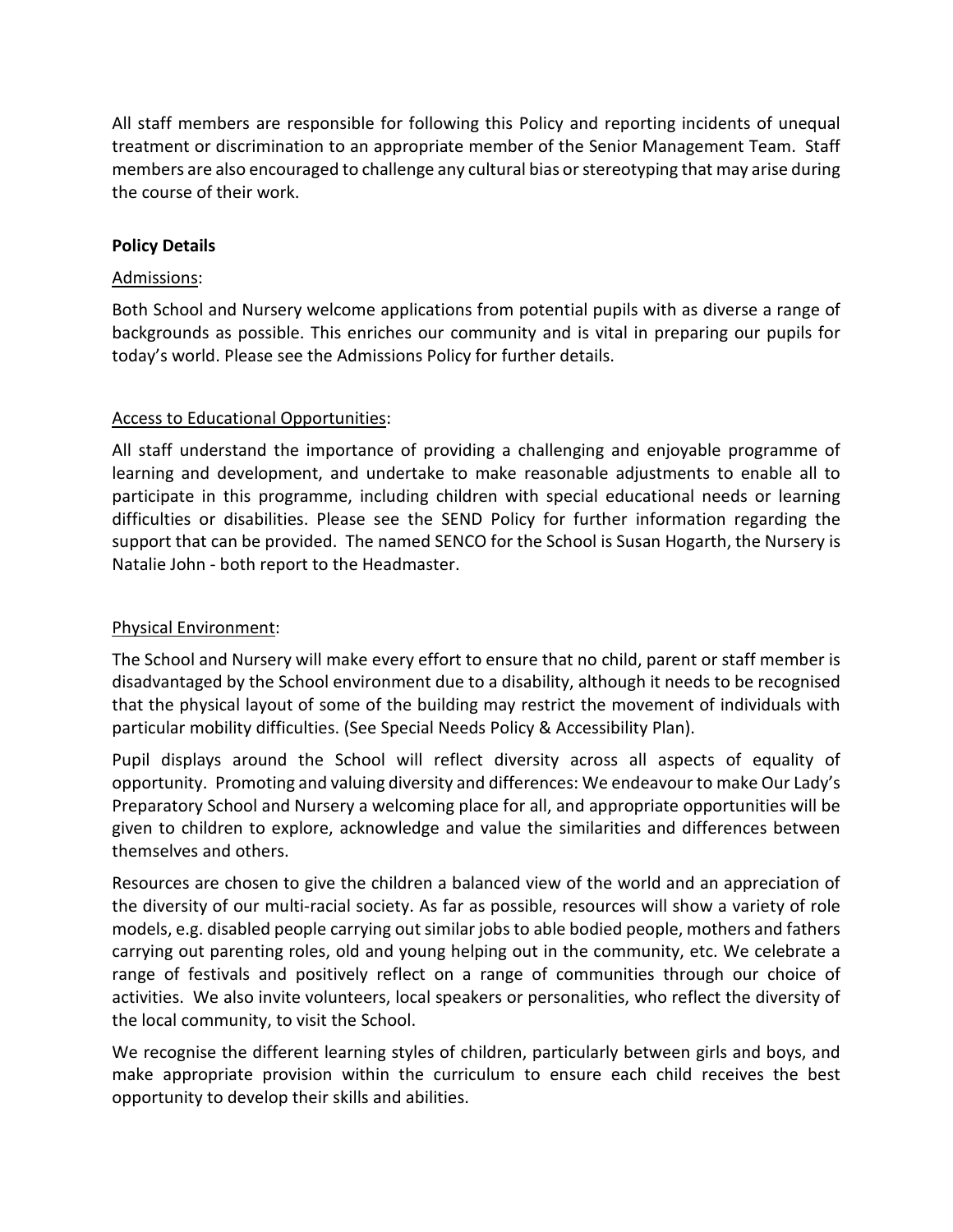All staff members are responsible for following this Policy and reporting incidents of unequal treatment or discrimination to an appropriate member of the Senior Management Team. Staff members are also encouraged to challenge any cultural bias or stereotyping that may arise during the course of their work.

## **Policy Details**

## Admissions:

Both School and Nursery welcome applications from potential pupils with as diverse a range of backgrounds as possible. This enriches our community and is vital in preparing our pupils for today's world. Please see the Admissions Policy for further details.

## Access to Educational Opportunities:

All staff understand the importance of providing a challenging and enjoyable programme of learning and development, and undertake to make reasonable adjustments to enable all to participate in this programme, including children with special educational needs or learning difficulties or disabilities. Please see the SEND Policy for further information regarding the support that can be provided. The named SENCO for the School is Susan Hogarth, the Nursery is Natalie John - both report to the Headmaster.

## Physical Environment:

The School and Nursery will make every effort to ensure that no child, parent or staff member is disadvantaged by the School environment due to a disability, although it needs to be recognised that the physical layout of some of the building may restrict the movement of individuals with particular mobility difficulties. (See Special Needs Policy & Accessibility Plan).

Pupil displays around the School will reflect diversity across all aspects of equality of opportunity. Promoting and valuing diversity and differences: We endeavour to make Our Lady's Preparatory School and Nursery a welcoming place for all, and appropriate opportunities will be given to children to explore, acknowledge and value the similarities and differences between themselves and others.

Resources are chosen to give the children a balanced view of the world and an appreciation of the diversity of our multi-racial society. As far as possible, resources will show a variety of role models, e.g. disabled people carrying out similar jobs to able bodied people, mothers and fathers carrying out parenting roles, old and young helping out in the community, etc. We celebrate a range of festivals and positively reflect on a range of communities through our choice of activities. We also invite volunteers, local speakers or personalities, who reflect the diversity of the local community, to visit the School.

We recognise the different learning styles of children, particularly between girls and boys, and make appropriate provision within the curriculum to ensure each child receives the best opportunity to develop their skills and abilities.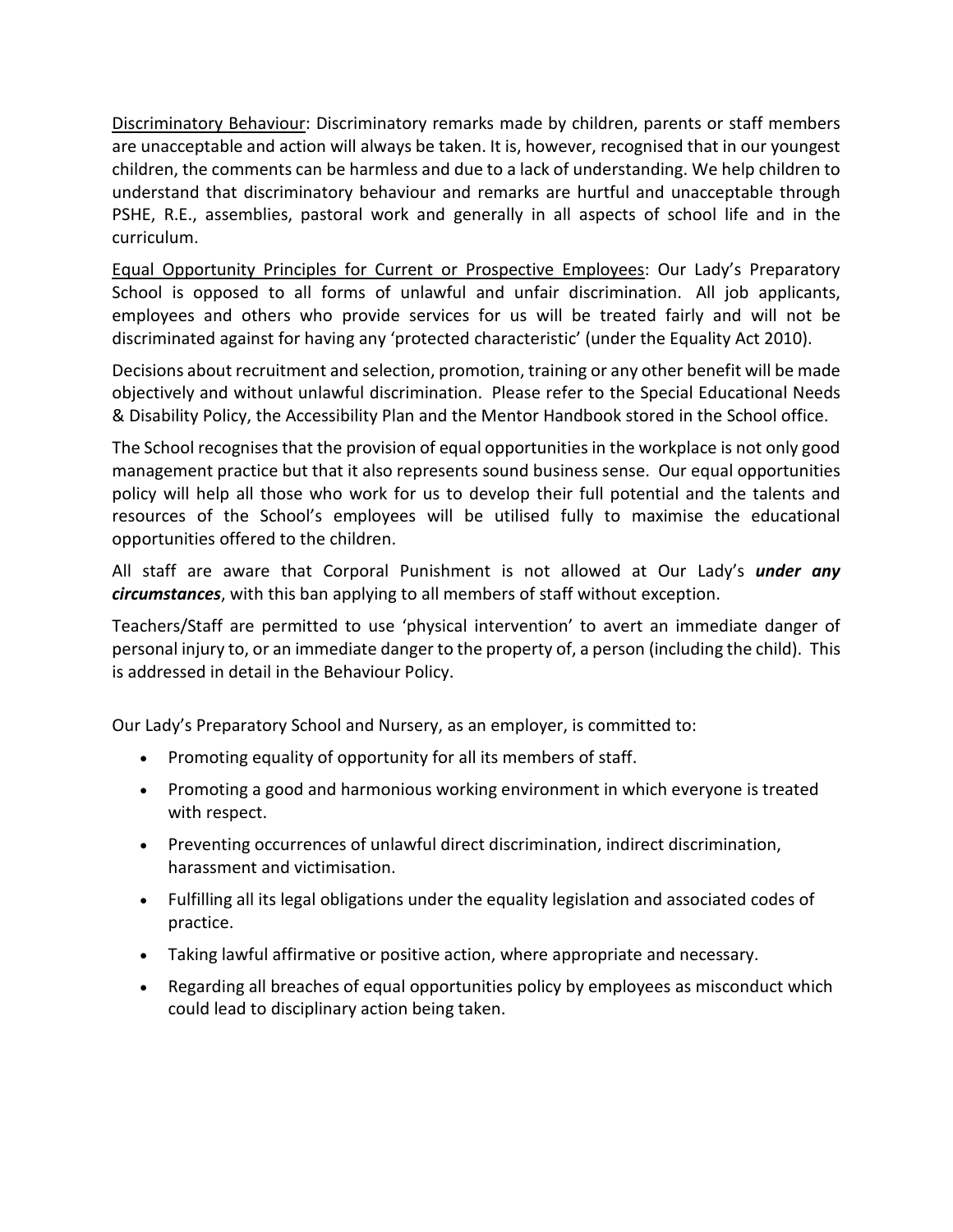Discriminatory Behaviour: Discriminatory remarks made by children, parents or staff members are unacceptable and action will always be taken. It is, however, recognised that in our youngest children, the comments can be harmless and due to a lack of understanding. We help children to understand that discriminatory behaviour and remarks are hurtful and unacceptable through PSHE, R.E., assemblies, pastoral work and generally in all aspects of school life and in the curriculum.

Equal Opportunity Principles for Current or Prospective Employees: Our Lady's Preparatory School is opposed to all forms of unlawful and unfair discrimination. All job applicants, employees and others who provide services for us will be treated fairly and will not be discriminated against for having any 'protected characteristic' (under the Equality Act 2010).

Decisions about recruitment and selection, promotion, training or any other benefit will be made objectively and without unlawful discrimination. Please refer to the Special Educational Needs & Disability Policy, the Accessibility Plan and the Mentor Handbook stored in the School office.

The School recognises that the provision of equal opportunities in the workplace is not only good management practice but that it also represents sound business sense. Our equal opportunities policy will help all those who work for us to develop their full potential and the talents and resources of the School's employees will be utilised fully to maximise the educational opportunities offered to the children.

All staff are aware that Corporal Punishment is not allowed at Our Lady's *under any circumstances*, with this ban applying to all members of staff without exception.

Teachers/Staff are permitted to use 'physical intervention' to avert an immediate danger of personal injury to, or an immediate danger to the property of, a person (including the child). This is addressed in detail in the Behaviour Policy.

Our Lady's Preparatory School and Nursery, as an employer, is committed to:

- Promoting equality of opportunity for all its members of staff.
- Promoting a good and harmonious working environment in which everyone is treated with respect.
- Preventing occurrences of unlawful direct discrimination, indirect discrimination, harassment and victimisation.
- Fulfilling all its legal obligations under the equality legislation and associated codes of practice.
- Taking lawful affirmative or positive action, where appropriate and necessary.
- Regarding all breaches of equal opportunities policy by employees as misconduct which could lead to disciplinary action being taken.